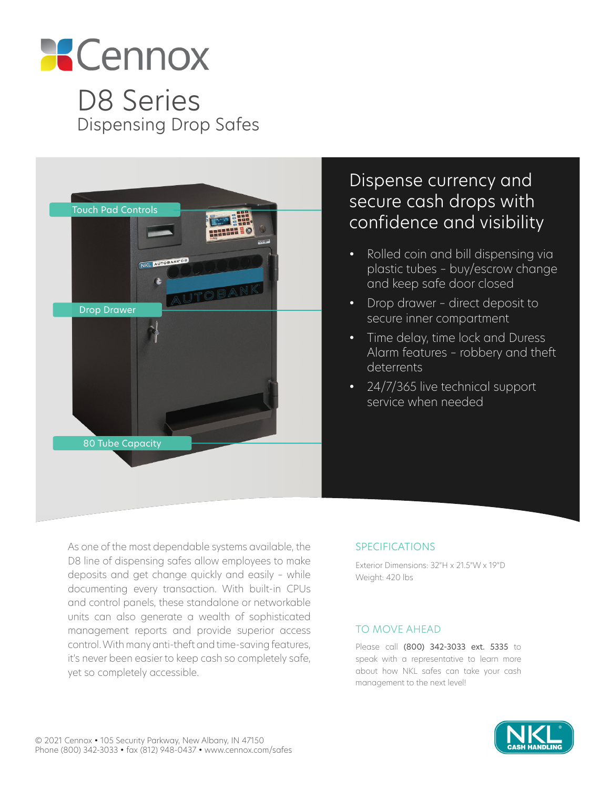

D8 Series Dispensing Drop Safes



# Dispense currency and secure cash drops with confidence and visibility

- Rolled coin and bill dispensing via plastic tubes – buy/escrow change and keep safe door closed
- Drop drawer direct deposit to secure inner compartment
- Time delay, time lock and Duress Alarm features – robbery and theft deterrents
- 24/7/365 live technical support service when needed

As one of the most dependable systems available, the D8 line of dispensing safes allow employees to make deposits and get change quickly and easily – while documenting every transaction. With built-in CPUs and control panels, these standalone or networkable units can also generate a wealth of sophisticated management reports and provide superior access control. With many anti-theft and time-saving features, it's never been easier to keep cash so completely safe, yet so completely accessible.

#### SPECIFICATIONS

Exterior Dimensions: 32"H x 21.5"W x 19"D Weight: 420 lbs

#### TO MOVE AHEAD

Please call (800) 342-3033 ext. 5335 to speak with a representative to learn more about how NKL safes can take your cash management to the next level!